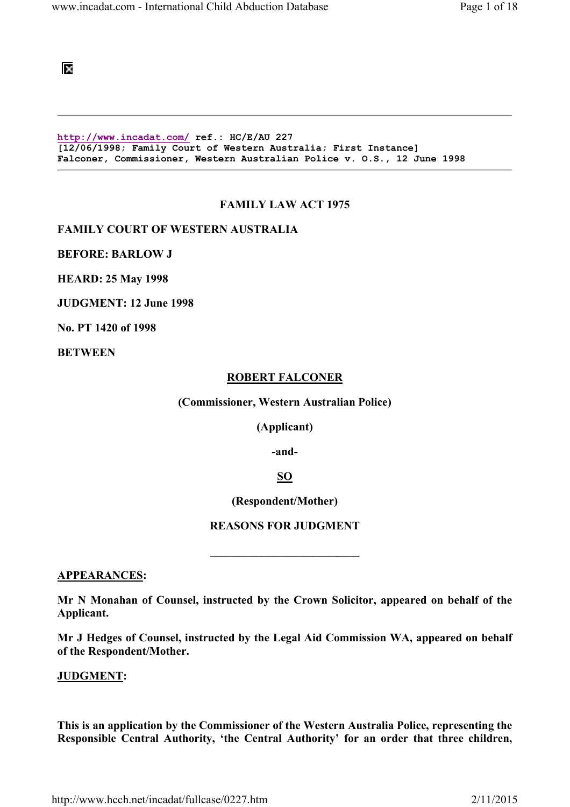100

http://www.incadat.com/ ref.: HC/E/AU 227 [12/06/1998; Family Court of Western Australia; First Instance] Falconer, Commissioner, Western Australian Police v. O.S., 12 June 1998

### FAMILY LAW ACT 1975

FAMILY COURT OF WESTERN AUSTRALIA

BEFORE: BARLOW J

HEARD: 25 May 1998

JUDGMENT: 12 June 1998

No. PT 1420 of 1998

**BETWEEN** 

#### ROBERT FALCONER

(Commissioner, Western Australian Police)

(Applicant)

-and-

# SO

(Respondent/Mother)

#### REASONS FOR JUDGMENT

 $\overline{\phantom{a}}$  , which is a set of the set of the set of the set of the set of the set of the set of the set of the set of the set of the set of the set of the set of the set of the set of the set of the set of the set of th

#### APPEARANCES:

Mr N Monahan of Counsel, instructed by the Crown Solicitor, appeared on behalf of the Applicant.

Mr J Hedges of Counsel, instructed by the Legal Aid Commission WA, appeared on behalf of the Respondent/Mother.

#### JUDGMENT:

This is an application by the Commissioner of the Western Australia Police, representing the Responsible Central Authority, 'the Central Authority' for an order that three children,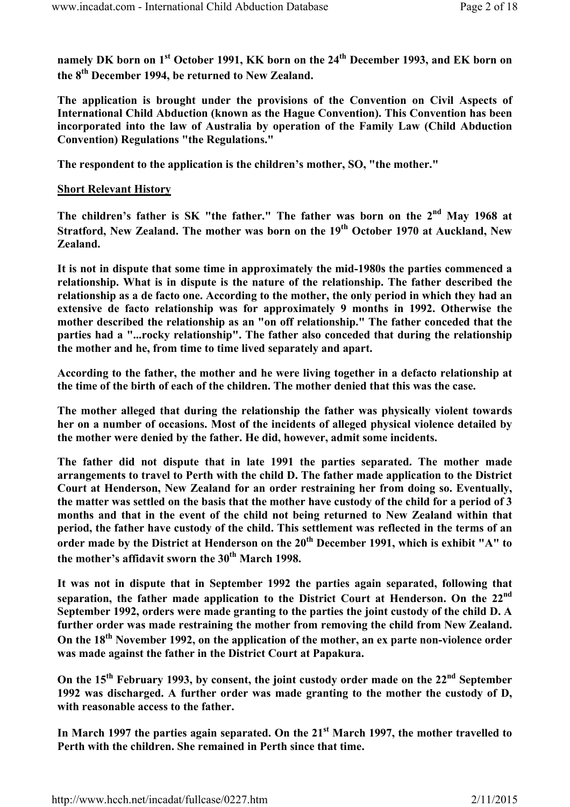namely DK born on 1<sup>st</sup> October 1991, KK born on the 24<sup>th</sup> December 1993, and EK born on the 8<sup>th</sup> December 1994, be returned to New Zealand.

The application is brought under the provisions of the Convention on Civil Aspects of International Child Abduction (known as the Hague Convention). This Convention has been incorporated into the law of Australia by operation of the Family Law (Child Abduction Convention) Regulations "the Regulations."

The respondent to the application is the children's mother, SO, "the mother."

# Short Relevant History

The children's father is SK "the father." The father was born on the 2<sup>nd</sup> May 1968 at Stratford, New Zealand. The mother was born on the 19<sup>th</sup> October 1970 at Auckland, New Zealand.

It is not in dispute that some time in approximately the mid-1980s the parties commenced a relationship. What is in dispute is the nature of the relationship. The father described the relationship as a de facto one. According to the mother, the only period in which they had an extensive de facto relationship was for approximately 9 months in 1992. Otherwise the mother described the relationship as an "on off relationship." The father conceded that the parties had a "...rocky relationship". The father also conceded that during the relationship the mother and he, from time to time lived separately and apart.

According to the father, the mother and he were living together in a defacto relationship at the time of the birth of each of the children. The mother denied that this was the case.

The mother alleged that during the relationship the father was physically violent towards her on a number of occasions. Most of the incidents of alleged physical violence detailed by the mother were denied by the father. He did, however, admit some incidents.

The father did not dispute that in late 1991 the parties separated. The mother made arrangements to travel to Perth with the child D. The father made application to the District Court at Henderson, New Zealand for an order restraining her from doing so. Eventually, the matter was settled on the basis that the mother have custody of the child for a period of 3 months and that in the event of the child not being returned to New Zealand within that period, the father have custody of the child. This settlement was reflected in the terms of an order made by the District at Henderson on the  $20<sup>th</sup>$  December 1991, which is exhibit "A" to the mother's affidavit sworn the 30<sup>th</sup> March 1998.

It was not in dispute that in September 1992 the parties again separated, following that separation, the father made application to the District Court at Henderson. On the 22<sup>nd</sup> September 1992, orders were made granting to the parties the joint custody of the child D. A further order was made restraining the mother from removing the child from New Zealand. On the 18<sup>th</sup> November 1992, on the application of the mother, an ex parte non-violence order was made against the father in the District Court at Papakura.

On the  $15<sup>th</sup>$  February 1993, by consent, the joint custody order made on the  $22<sup>nd</sup>$  September 1992 was discharged. A further order was made granting to the mother the custody of D, with reasonable access to the father.

In March 1997 the parties again separated. On the 21<sup>st</sup> March 1997, the mother travelled to Perth with the children. She remained in Perth since that time.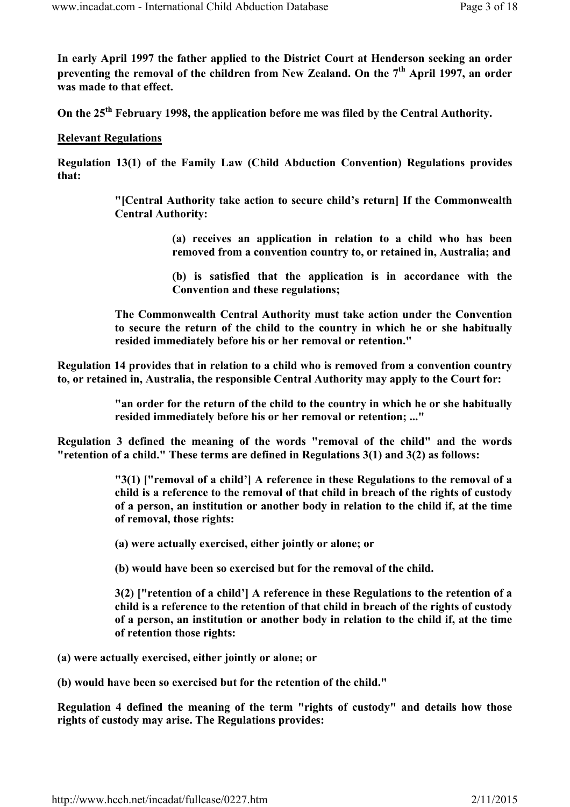In early April 1997 the father applied to the District Court at Henderson seeking an order preventing the removal of the children from New Zealand. On the  $7<sup>th</sup>$  April 1997, an order was made to that effect.

On the 25<sup>th</sup> February 1998, the application before me was filed by the Central Authority.

# Relevant Regulations

Regulation 13(1) of the Family Law (Child Abduction Convention) Regulations provides that:

> "[Central Authority take action to secure child's return] If the Commonwealth Central Authority:

> > (a) receives an application in relation to a child who has been removed from a convention country to, or retained in, Australia; and

> > (b) is satisfied that the application is in accordance with the Convention and these regulations;

The Commonwealth Central Authority must take action under the Convention to secure the return of the child to the country in which he or she habitually resided immediately before his or her removal or retention."

Regulation 14 provides that in relation to a child who is removed from a convention country to, or retained in, Australia, the responsible Central Authority may apply to the Court for:

> "an order for the return of the child to the country in which he or she habitually resided immediately before his or her removal or retention; ..."

Regulation 3 defined the meaning of the words "removal of the child" and the words "retention of a child." These terms are defined in Regulations 3(1) and 3(2) as follows:

> "3(1) ["removal of a child'] A reference in these Regulations to the removal of a child is a reference to the removal of that child in breach of the rights of custody of a person, an institution or another body in relation to the child if, at the time of removal, those rights:

(a) were actually exercised, either jointly or alone; or

(b) would have been so exercised but for the removal of the child.

3(2) ["retention of a child'] A reference in these Regulations to the retention of a child is a reference to the retention of that child in breach of the rights of custody of a person, an institution or another body in relation to the child if, at the time of retention those rights:

(a) were actually exercised, either jointly or alone; or

(b) would have been so exercised but for the retention of the child."

Regulation 4 defined the meaning of the term "rights of custody" and details how those rights of custody may arise. The Regulations provides: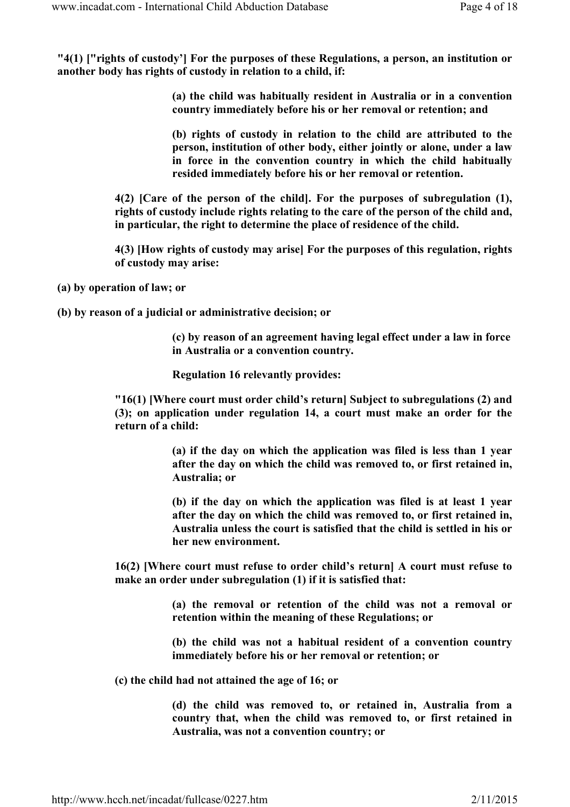"4(1) ["rights of custody'] For the purposes of these Regulations, a person, an institution or another body has rights of custody in relation to a child, if:

> (a) the child was habitually resident in Australia or in a convention country immediately before his or her removal or retention; and

> (b) rights of custody in relation to the child are attributed to the person, institution of other body, either jointly or alone, under a law in force in the convention country in which the child habitually resided immediately before his or her removal or retention.

4(2) [Care of the person of the child]. For the purposes of subregulation (1), rights of custody include rights relating to the care of the person of the child and, in particular, the right to determine the place of residence of the child.

4(3) [How rights of custody may arise] For the purposes of this regulation, rights of custody may arise:

(a) by operation of law; or

(b) by reason of a judicial or administrative decision; or

(c) by reason of an agreement having legal effect under a law in force in Australia or a convention country.

Regulation 16 relevantly provides:

"16(1) [Where court must order child's return] Subject to subregulations (2) and (3); on application under regulation 14, a court must make an order for the return of a child:

> (a) if the day on which the application was filed is less than 1 year after the day on which the child was removed to, or first retained in, Australia; or

> (b) if the day on which the application was filed is at least 1 year after the day on which the child was removed to, or first retained in, Australia unless the court is satisfied that the child is settled in his or her new environment.

16(2) [Where court must refuse to order child's return] A court must refuse to make an order under subregulation (1) if it is satisfied that:

> (a) the removal or retention of the child was not a removal or retention within the meaning of these Regulations; or

> (b) the child was not a habitual resident of a convention country immediately before his or her removal or retention; or

(c) the child had not attained the age of 16; or

(d) the child was removed to, or retained in, Australia from a country that, when the child was removed to, or first retained in Australia, was not a convention country; or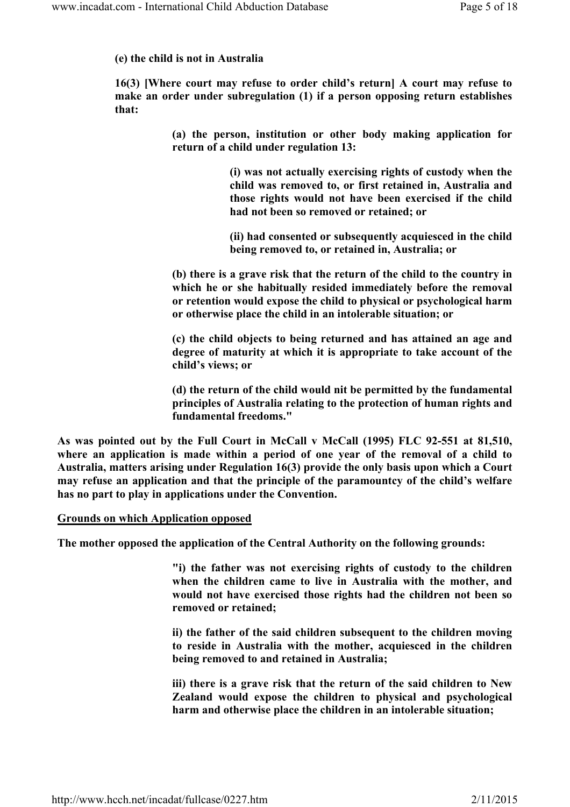# (e) the child is not in Australia

16(3) [Where court may refuse to order child's return] A court may refuse to make an order under subregulation (1) if a person opposing return establishes that:

> (a) the person, institution or other body making application for return of a child under regulation 13:

> > (i) was not actually exercising rights of custody when the child was removed to, or first retained in, Australia and those rights would not have been exercised if the child had not been so removed or retained; or

> > (ii) had consented or subsequently acquiesced in the child being removed to, or retained in, Australia; or

(b) there is a grave risk that the return of the child to the country in which he or she habitually resided immediately before the removal or retention would expose the child to physical or psychological harm or otherwise place the child in an intolerable situation; or

(c) the child objects to being returned and has attained an age and degree of maturity at which it is appropriate to take account of the child's views; or

(d) the return of the child would nit be permitted by the fundamental principles of Australia relating to the protection of human rights and fundamental freedoms."

As was pointed out by the Full Court in McCall v McCall (1995) FLC 92-551 at 81,510, where an application is made within a period of one year of the removal of a child to Australia, matters arising under Regulation 16(3) provide the only basis upon which a Court may refuse an application and that the principle of the paramountcy of the child's welfare has no part to play in applications under the Convention.

## Grounds on which Application opposed

The mother opposed the application of the Central Authority on the following grounds:

"i) the father was not exercising rights of custody to the children when the children came to live in Australia with the mother, and would not have exercised those rights had the children not been so removed or retained;

ii) the father of the said children subsequent to the children moving to reside in Australia with the mother, acquiesced in the children being removed to and retained in Australia;

iii) there is a grave risk that the return of the said children to New Zealand would expose the children to physical and psychological harm and otherwise place the children in an intolerable situation;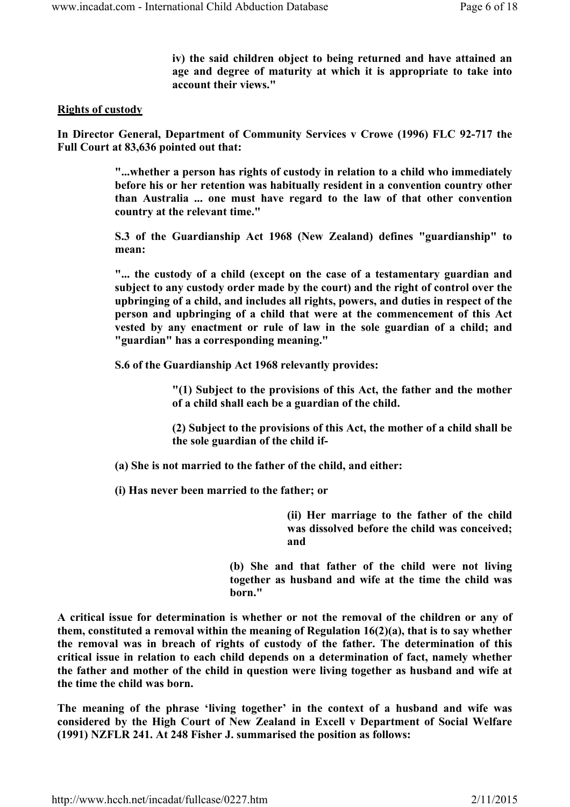iv) the said children object to being returned and have attained an age and degree of maturity at which it is appropriate to take into account their views."

## Rights of custody

In Director General, Department of Community Services v Crowe (1996) FLC 92-717 the Full Court at 83,636 pointed out that:

> "...whether a person has rights of custody in relation to a child who immediately before his or her retention was habitually resident in a convention country other than Australia ... one must have regard to the law of that other convention country at the relevant time."

> S.3 of the Guardianship Act 1968 (New Zealand) defines "guardianship" to mean:

> "... the custody of a child (except on the case of a testamentary guardian and subject to any custody order made by the court) and the right of control over the upbringing of a child, and includes all rights, powers, and duties in respect of the person and upbringing of a child that were at the commencement of this Act vested by any enactment or rule of law in the sole guardian of a child; and "guardian" has a corresponding meaning."

S.6 of the Guardianship Act 1968 relevantly provides:

"(1) Subject to the provisions of this Act, the father and the mother of a child shall each be a guardian of the child.

(2) Subject to the provisions of this Act, the mother of a child shall be the sole guardian of the child if-

- (a) She is not married to the father of the child, and either:
- (i) Has never been married to the father; or

(ii) Her marriage to the father of the child was dissolved before the child was conceived; and

(b) She and that father of the child were not living together as husband and wife at the time the child was born."

A critical issue for determination is whether or not the removal of the children or any of them, constituted a removal within the meaning of Regulation 16(2)(a), that is to say whether the removal was in breach of rights of custody of the father. The determination of this critical issue in relation to each child depends on a determination of fact, namely whether the father and mother of the child in question were living together as husband and wife at the time the child was born.

The meaning of the phrase 'living together' in the context of a husband and wife was considered by the High Court of New Zealand in Excell v Department of Social Welfare (1991) NZFLR 241. At 248 Fisher J. summarised the position as follows: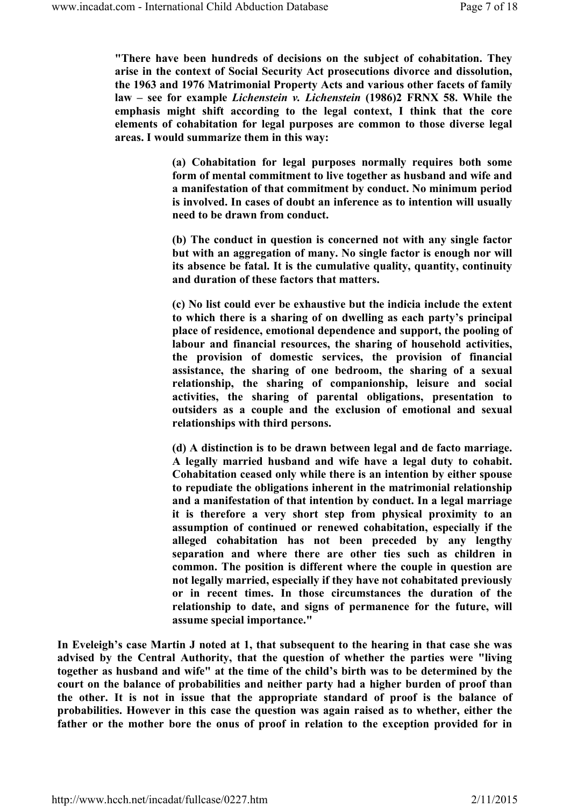"There have been hundreds of decisions on the subject of cohabitation. They arise in the context of Social Security Act prosecutions divorce and dissolution, the 1963 and 1976 Matrimonial Property Acts and various other facets of family law – see for example Lichenstein v. Lichenstein (1986)2 FRNX 58. While the emphasis might shift according to the legal context, I think that the core elements of cohabitation for legal purposes are common to those diverse legal areas. I would summarize them in this way:

> (a) Cohabitation for legal purposes normally requires both some form of mental commitment to live together as husband and wife and a manifestation of that commitment by conduct. No minimum period is involved. In cases of doubt an inference as to intention will usually need to be drawn from conduct.

> (b) The conduct in question is concerned not with any single factor but with an aggregation of many. No single factor is enough nor will its absence be fatal. It is the cumulative quality, quantity, continuity and duration of these factors that matters.

> (c) No list could ever be exhaustive but the indicia include the extent to which there is a sharing of on dwelling as each party's principal place of residence, emotional dependence and support, the pooling of labour and financial resources, the sharing of household activities, the provision of domestic services, the provision of financial assistance, the sharing of one bedroom, the sharing of a sexual relationship, the sharing of companionship, leisure and social activities, the sharing of parental obligations, presentation to outsiders as a couple and the exclusion of emotional and sexual relationships with third persons.

> (d) A distinction is to be drawn between legal and de facto marriage. A legally married husband and wife have a legal duty to cohabit. Cohabitation ceased only while there is an intention by either spouse to repudiate the obligations inherent in the matrimonial relationship and a manifestation of that intention by conduct. In a legal marriage it is therefore a very short step from physical proximity to an assumption of continued or renewed cohabitation, especially if the alleged cohabitation has not been preceded by any lengthy separation and where there are other ties such as children in common. The position is different where the couple in question are not legally married, especially if they have not cohabitated previously or in recent times. In those circumstances the duration of the relationship to date, and signs of permanence for the future, will assume special importance."

In Eveleigh's case Martin J noted at 1, that subsequent to the hearing in that case she was advised by the Central Authority, that the question of whether the parties were "living together as husband and wife" at the time of the child's birth was to be determined by the court on the balance of probabilities and neither party had a higher burden of proof than the other. It is not in issue that the appropriate standard of proof is the balance of probabilities. However in this case the question was again raised as to whether, either the father or the mother bore the onus of proof in relation to the exception provided for in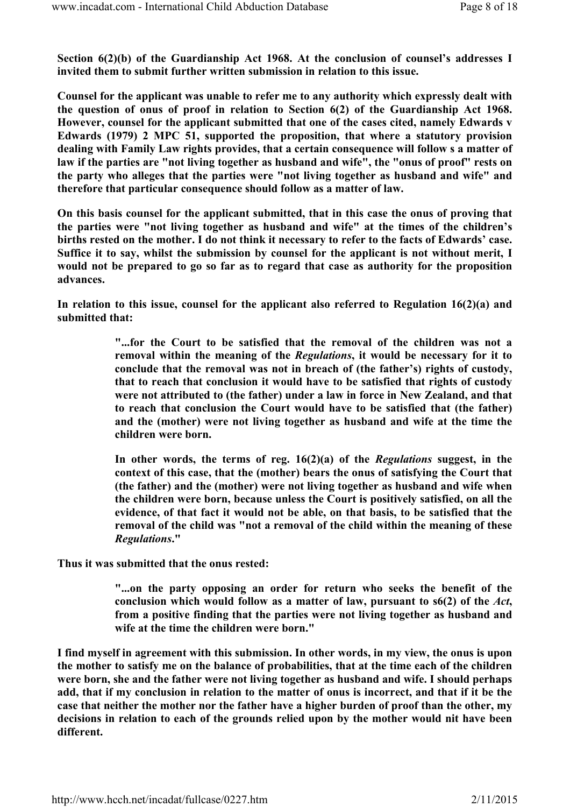Section 6(2)(b) of the Guardianship Act 1968. At the conclusion of counsel's addresses I invited them to submit further written submission in relation to this issue.

Counsel for the applicant was unable to refer me to any authority which expressly dealt with the question of onus of proof in relation to Section 6(2) of the Guardianship Act 1968. However, counsel for the applicant submitted that one of the cases cited, namely Edwards v Edwards (1979) 2 MPC 51, supported the proposition, that where a statutory provision dealing with Family Law rights provides, that a certain consequence will follow s a matter of law if the parties are "not living together as husband and wife", the "onus of proof" rests on the party who alleges that the parties were "not living together as husband and wife" and therefore that particular consequence should follow as a matter of law.

On this basis counsel for the applicant submitted, that in this case the onus of proving that the parties were "not living together as husband and wife" at the times of the children's births rested on the mother. I do not think it necessary to refer to the facts of Edwards' case. Suffice it to say, whilst the submission by counsel for the applicant is not without merit, I would not be prepared to go so far as to regard that case as authority for the proposition advances.

In relation to this issue, counsel for the applicant also referred to Regulation 16(2)(a) and submitted that:

> "...for the Court to be satisfied that the removal of the children was not a removal within the meaning of the Regulations, it would be necessary for it to conclude that the removal was not in breach of (the father's) rights of custody, that to reach that conclusion it would have to be satisfied that rights of custody were not attributed to (the father) under a law in force in New Zealand, and that to reach that conclusion the Court would have to be satisfied that (the father) and the (mother) were not living together as husband and wife at the time the children were born.

> In other words, the terms of reg.  $16(2)(a)$  of the *Regulations* suggest, in the context of this case, that the (mother) bears the onus of satisfying the Court that (the father) and the (mother) were not living together as husband and wife when the children were born, because unless the Court is positively satisfied, on all the evidence, of that fact it would not be able, on that basis, to be satisfied that the removal of the child was "not a removal of the child within the meaning of these Regulations."

Thus it was submitted that the onus rested:

"...on the party opposing an order for return who seeks the benefit of the conclusion which would follow as a matter of law, pursuant to  $\frac{6(2)}{10}$  of the Act, from a positive finding that the parties were not living together as husband and wife at the time the children were born."

I find myself in agreement with this submission. In other words, in my view, the onus is upon the mother to satisfy me on the balance of probabilities, that at the time each of the children were born, she and the father were not living together as husband and wife. I should perhaps add, that if my conclusion in relation to the matter of onus is incorrect, and that if it be the case that neither the mother nor the father have a higher burden of proof than the other, my decisions in relation to each of the grounds relied upon by the mother would nit have been different.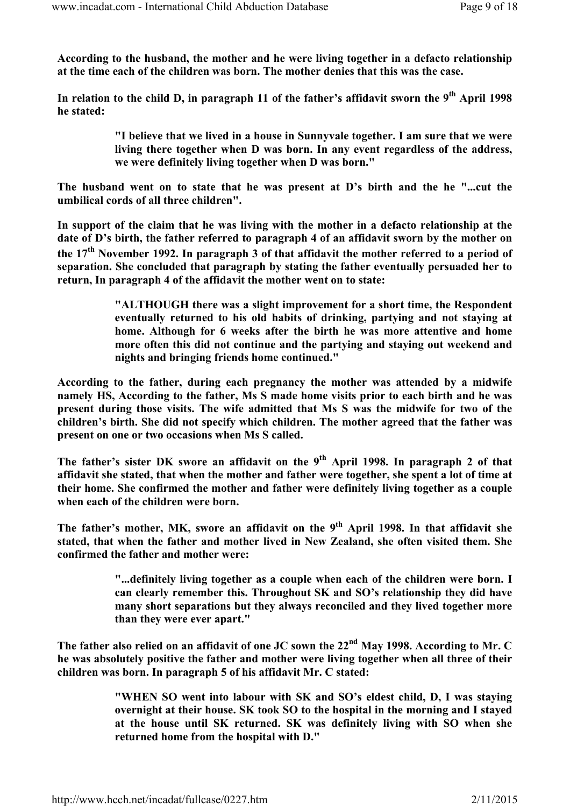According to the husband, the mother and he were living together in a defacto relationship at the time each of the children was born. The mother denies that this was the case.

In relation to the child D, in paragraph 11 of the father's affidavit sworn the  $9<sup>th</sup>$  April 1998 he stated:

> "I believe that we lived in a house in Sunnyvale together. I am sure that we were living there together when D was born. In any event regardless of the address, we were definitely living together when D was born."

The husband went on to state that he was present at D's birth and the he "...cut the umbilical cords of all three children".

In support of the claim that he was living with the mother in a defacto relationship at the date of D's birth, the father referred to paragraph 4 of an affidavit sworn by the mother on the 17<sup>th</sup> November 1992. In paragraph 3 of that affidavit the mother referred to a period of separation. She concluded that paragraph by stating the father eventually persuaded her to return, In paragraph 4 of the affidavit the mother went on to state:

> "ALTHOUGH there was a slight improvement for a short time, the Respondent eventually returned to his old habits of drinking, partying and not staying at home. Although for 6 weeks after the birth he was more attentive and home more often this did not continue and the partying and staying out weekend and nights and bringing friends home continued."

According to the father, during each pregnancy the mother was attended by a midwife namely HS, According to the father, Ms S made home visits prior to each birth and he was present during those visits. The wife admitted that Ms S was the midwife for two of the children's birth. She did not specify which children. The mother agreed that the father was present on one or two occasions when Ms S called.

The father's sister DK swore an affidavit on the 9<sup>th</sup> April 1998. In paragraph 2 of that affidavit she stated, that when the mother and father were together, she spent a lot of time at their home. She confirmed the mother and father were definitely living together as a couple when each of the children were born.

The father's mother, MK, swore an affidavit on the 9<sup>th</sup> April 1998. In that affidavit she stated, that when the father and mother lived in New Zealand, she often visited them. She confirmed the father and mother were:

> "...definitely living together as a couple when each of the children were born. I can clearly remember this. Throughout SK and SO's relationship they did have many short separations but they always reconciled and they lived together more than they were ever apart."

The father also relied on an affidavit of one JC sown the  $22<sup>nd</sup>$  May 1998. According to Mr. C he was absolutely positive the father and mother were living together when all three of their children was born. In paragraph 5 of his affidavit Mr. C stated:

> "WHEN SO went into labour with SK and SO's eldest child, D, I was staying overnight at their house. SK took SO to the hospital in the morning and I stayed at the house until SK returned. SK was definitely living with SO when she returned home from the hospital with D."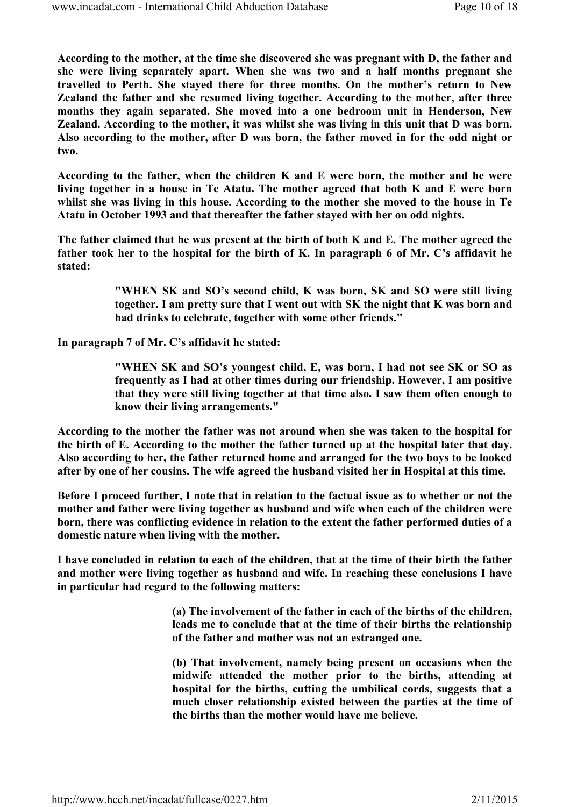According to the mother, at the time she discovered she was pregnant with D, the father and she were living separately apart. When she was two and a half months pregnant she travelled to Perth. She stayed there for three months. On the mother's return to New Zealand the father and she resumed living together. According to the mother, after three months they again separated. She moved into a one bedroom unit in Henderson, New Zealand. According to the mother, it was whilst she was living in this unit that D was born. Also according to the mother, after D was born, the father moved in for the odd night or two.

According to the father, when the children K and E were born, the mother and he were living together in a house in Te Atatu. The mother agreed that both K and E were born whilst she was living in this house. According to the mother she moved to the house in Te Atatu in October 1993 and that thereafter the father stayed with her on odd nights.

The father claimed that he was present at the birth of both K and E. The mother agreed the father took her to the hospital for the birth of K. In paragraph 6 of Mr. C's affidavit he stated:

> "WHEN SK and SO's second child, K was born, SK and SO were still living together. I am pretty sure that I went out with SK the night that K was born and had drinks to celebrate, together with some other friends."

In paragraph 7 of Mr. C's affidavit he stated:

"WHEN SK and SO's youngest child, E, was born, I had not see SK or SO as frequently as I had at other times during our friendship. However, I am positive that they were still living together at that time also. I saw them often enough to know their living arrangements."

According to the mother the father was not around when she was taken to the hospital for the birth of E. According to the mother the father turned up at the hospital later that day. Also according to her, the father returned home and arranged for the two boys to be looked after by one of her cousins. The wife agreed the husband visited her in Hospital at this time.

Before I proceed further, I note that in relation to the factual issue as to whether or not the mother and father were living together as husband and wife when each of the children were born, there was conflicting evidence in relation to the extent the father performed duties of a domestic nature when living with the mother.

I have concluded in relation to each of the children, that at the time of their birth the father and mother were living together as husband and wife. In reaching these conclusions I have in particular had regard to the following matters:

> (a) The involvement of the father in each of the births of the children, leads me to conclude that at the time of their births the relationship of the father and mother was not an estranged one.

> (b) That involvement, namely being present on occasions when the midwife attended the mother prior to the births, attending at hospital for the births, cutting the umbilical cords, suggests that a much closer relationship existed between the parties at the time of the births than the mother would have me believe.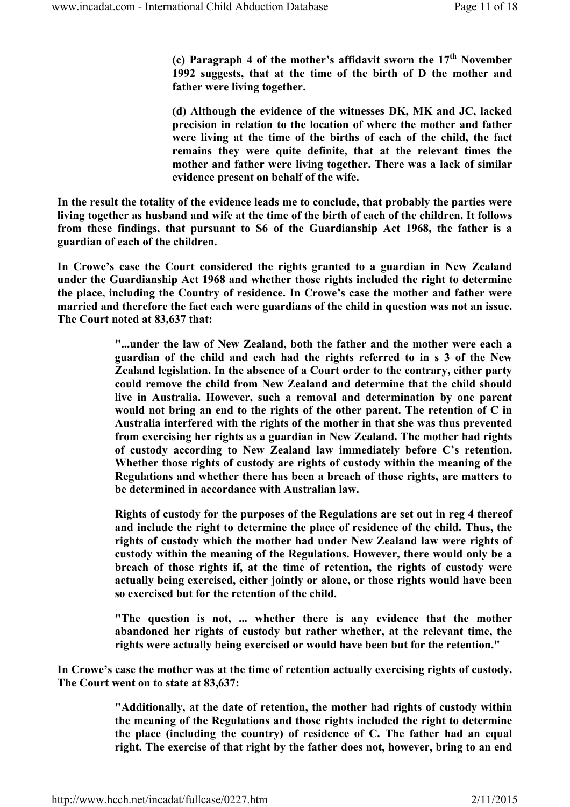(c) Paragraph 4 of the mother's affidavit sworn the  $17<sup>th</sup>$  November 1992 suggests, that at the time of the birth of D the mother and father were living together.

(d) Although the evidence of the witnesses DK, MK and JC, lacked precision in relation to the location of where the mother and father were living at the time of the births of each of the child, the fact remains they were quite definite, that at the relevant times the mother and father were living together. There was a lack of similar evidence present on behalf of the wife.

In the result the totality of the evidence leads me to conclude, that probably the parties were living together as husband and wife at the time of the birth of each of the children. It follows from these findings, that pursuant to S6 of the Guardianship Act 1968, the father is a guardian of each of the children.

In Crowe's case the Court considered the rights granted to a guardian in New Zealand under the Guardianship Act 1968 and whether those rights included the right to determine the place, including the Country of residence. In Crowe's case the mother and father were married and therefore the fact each were guardians of the child in question was not an issue. The Court noted at 83,637 that:

> "...under the law of New Zealand, both the father and the mother were each a guardian of the child and each had the rights referred to in s 3 of the New Zealand legislation. In the absence of a Court order to the contrary, either party could remove the child from New Zealand and determine that the child should live in Australia. However, such a removal and determination by one parent would not bring an end to the rights of the other parent. The retention of C in Australia interfered with the rights of the mother in that she was thus prevented from exercising her rights as a guardian in New Zealand. The mother had rights of custody according to New Zealand law immediately before C's retention. Whether those rights of custody are rights of custody within the meaning of the Regulations and whether there has been a breach of those rights, are matters to be determined in accordance with Australian law.

> Rights of custody for the purposes of the Regulations are set out in reg 4 thereof and include the right to determine the place of residence of the child. Thus, the rights of custody which the mother had under New Zealand law were rights of custody within the meaning of the Regulations. However, there would only be a breach of those rights if, at the time of retention, the rights of custody were actually being exercised, either jointly or alone, or those rights would have been so exercised but for the retention of the child.

> "The question is not, ... whether there is any evidence that the mother abandoned her rights of custody but rather whether, at the relevant time, the rights were actually being exercised or would have been but for the retention."

In Crowe's case the mother was at the time of retention actually exercising rights of custody. The Court went on to state at 83,637:

> "Additionally, at the date of retention, the mother had rights of custody within the meaning of the Regulations and those rights included the right to determine the place (including the country) of residence of C. The father had an equal right. The exercise of that right by the father does not, however, bring to an end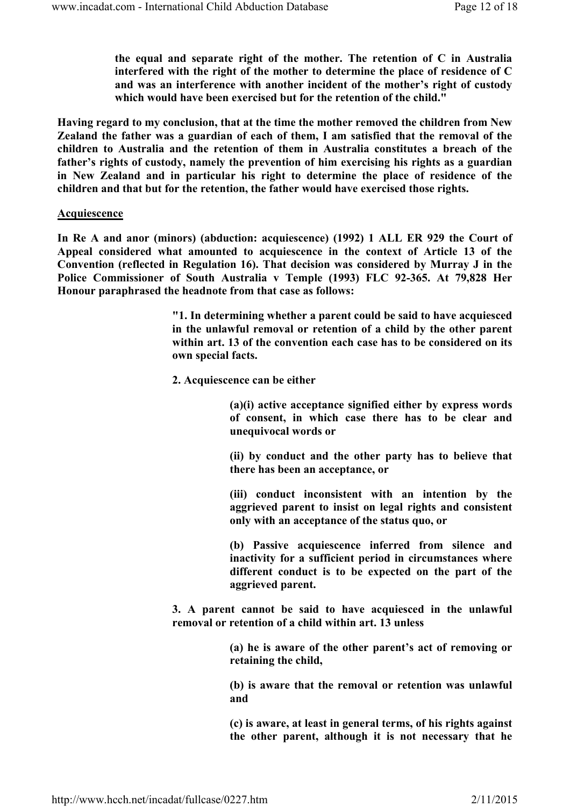the equal and separate right of the mother. The retention of C in Australia interfered with the right of the mother to determine the place of residence of C and was an interference with another incident of the mother's right of custody which would have been exercised but for the retention of the child."

Having regard to my conclusion, that at the time the mother removed the children from New Zealand the father was a guardian of each of them, I am satisfied that the removal of the children to Australia and the retention of them in Australia constitutes a breach of the father's rights of custody, namely the prevention of him exercising his rights as a guardian in New Zealand and in particular his right to determine the place of residence of the children and that but for the retention, the father would have exercised those rights.

#### Acquiescence

In Re A and anor (minors) (abduction: acquiescence) (1992) 1 ALL ER 929 the Court of Appeal considered what amounted to acquiescence in the context of Article 13 of the Convention (reflected in Regulation 16). That decision was considered by Murray J in the Police Commissioner of South Australia v Temple (1993) FLC 92-365. At 79,828 Her Honour paraphrased the headnote from that case as follows:

> "1. In determining whether a parent could be said to have acquiesced in the unlawful removal or retention of a child by the other parent within art. 13 of the convention each case has to be considered on its own special facts.

2. Acquiescence can be either

(a)(i) active acceptance signified either by express words of consent, in which case there has to be clear and unequivocal words or

(ii) by conduct and the other party has to believe that there has been an acceptance, or

(iii) conduct inconsistent with an intention by the aggrieved parent to insist on legal rights and consistent only with an acceptance of the status quo, or

(b) Passive acquiescence inferred from silence and inactivity for a sufficient period in circumstances where different conduct is to be expected on the part of the aggrieved parent.

3. A parent cannot be said to have acquiesced in the unlawful removal or retention of a child within art. 13 unless

> (a) he is aware of the other parent's act of removing or retaining the child,

> (b) is aware that the removal or retention was unlawful and

> (c) is aware, at least in general terms, of his rights against the other parent, although it is not necessary that he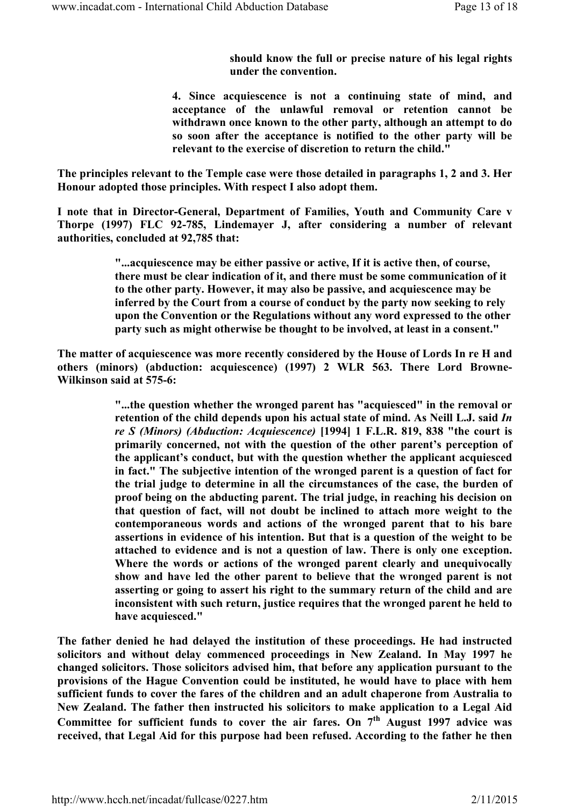should know the full or precise nature of his legal rights under the convention.

4. Since acquiescence is not a continuing state of mind, and acceptance of the unlawful removal or retention cannot be withdrawn once known to the other party, although an attempt to do so soon after the acceptance is notified to the other party will be relevant to the exercise of discretion to return the child."

The principles relevant to the Temple case were those detailed in paragraphs 1, 2 and 3. Her Honour adopted those principles. With respect I also adopt them.

I note that in Director-General, Department of Families, Youth and Community Care v Thorpe (1997) FLC 92-785, Lindemayer J, after considering a number of relevant authorities, concluded at 92,785 that:

> "...acquiescence may be either passive or active, If it is active then, of course, there must be clear indication of it, and there must be some communication of it to the other party. However, it may also be passive, and acquiescence may be inferred by the Court from a course of conduct by the party now seeking to rely upon the Convention or the Regulations without any word expressed to the other party such as might otherwise be thought to be involved, at least in a consent."

The matter of acquiescence was more recently considered by the House of Lords In re H and others (minors) (abduction: acquiescence) (1997) 2 WLR 563. There Lord Browne-Wilkinson said at 575-6:

> "...the question whether the wronged parent has "acquiesced" in the removal or retention of the child depends upon his actual state of mind. As Neill L.J. said In re S (Minors) (Abduction: Acquiescence) [1994] 1 F.L.R. 819, 838 "the court is primarily concerned, not with the question of the other parent's perception of the applicant's conduct, but with the question whether the applicant acquiesced in fact." The subjective intention of the wronged parent is a question of fact for the trial judge to determine in all the circumstances of the case, the burden of proof being on the abducting parent. The trial judge, in reaching his decision on that question of fact, will not doubt be inclined to attach more weight to the contemporaneous words and actions of the wronged parent that to his bare assertions in evidence of his intention. But that is a question of the weight to be attached to evidence and is not a question of law. There is only one exception. Where the words or actions of the wronged parent clearly and unequivocally show and have led the other parent to believe that the wronged parent is not asserting or going to assert his right to the summary return of the child and are inconsistent with such return, justice requires that the wronged parent he held to have acquiesced."

The father denied he had delayed the institution of these proceedings. He had instructed solicitors and without delay commenced proceedings in New Zealand. In May 1997 he changed solicitors. Those solicitors advised him, that before any application pursuant to the provisions of the Hague Convention could be instituted, he would have to place with hem sufficient funds to cover the fares of the children and an adult chaperone from Australia to New Zealand. The father then instructed his solicitors to make application to a Legal Aid Committee for sufficient funds to cover the air fares. On  $7<sup>th</sup>$  August 1997 advice was received, that Legal Aid for this purpose had been refused. According to the father he then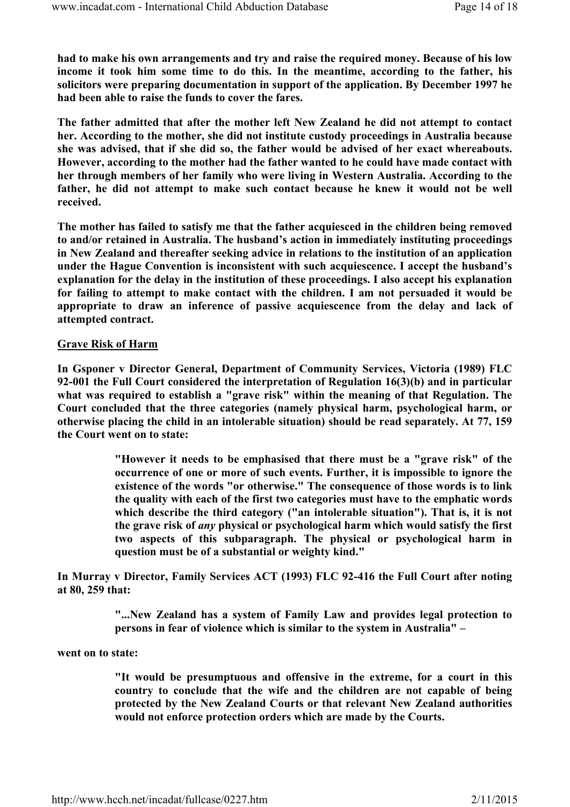had to make his own arrangements and try and raise the required money. Because of his low income it took him some time to do this. In the meantime, according to the father, his solicitors were preparing documentation in support of the application. By December 1997 he had been able to raise the funds to cover the fares.

The father admitted that after the mother left New Zealand he did not attempt to contact her. According to the mother, she did not institute custody proceedings in Australia because she was advised, that if she did so, the father would be advised of her exact whereabouts. However, according to the mother had the father wanted to he could have made contact with her through members of her family who were living in Western Australia. According to the father, he did not attempt to make such contact because he knew it would not be well received.

The mother has failed to satisfy me that the father acquiesced in the children being removed to and/or retained in Australia. The husband's action in immediately instituting proceedings in New Zealand and thereafter seeking advice in relations to the institution of an application under the Hague Convention is inconsistent with such acquiescence. I accept the husband's explanation for the delay in the institution of these proceedings. I also accept his explanation for failing to attempt to make contact with the children. I am not persuaded it would be appropriate to draw an inference of passive acquiescence from the delay and lack of attempted contract.

### Grave Risk of Harm

In Gsponer v Director General, Department of Community Services, Victoria (1989) FLC 92-001 the Full Court considered the interpretation of Regulation 16(3)(b) and in particular what was required to establish a "grave risk" within the meaning of that Regulation. The Court concluded that the three categories (namely physical harm, psychological harm, or otherwise placing the child in an intolerable situation) should be read separately. At 77, 159 the Court went on to state:

> "However it needs to be emphasised that there must be a "grave risk" of the occurrence of one or more of such events. Further, it is impossible to ignore the existence of the words "or otherwise." The consequence of those words is to link the quality with each of the first two categories must have to the emphatic words which describe the third category ("an intolerable situation"). That is, it is not the grave risk of any physical or psychological harm which would satisfy the first two aspects of this subparagraph. The physical or psychological harm in question must be of a substantial or weighty kind."

In Murray v Director, Family Services ACT (1993) FLC 92-416 the Full Court after noting at 80, 259 that:

> "...New Zealand has a system of Family Law and provides legal protection to persons in fear of violence which is similar to the system in Australia" –

#### went on to state:

"It would be presumptuous and offensive in the extreme, for a court in this country to conclude that the wife and the children are not capable of being protected by the New Zealand Courts or that relevant New Zealand authorities would not enforce protection orders which are made by the Courts.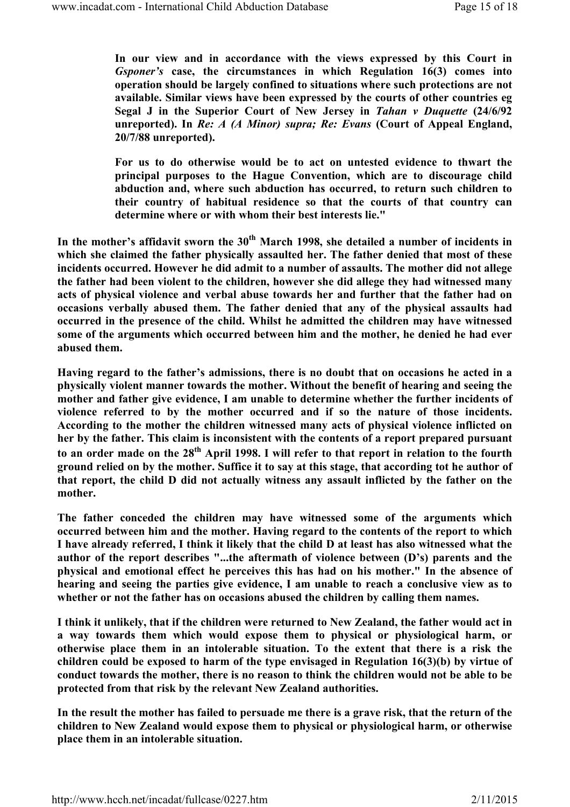In our view and in accordance with the views expressed by this Court in Gsponer's case, the circumstances in which Regulation 16(3) comes into operation should be largely confined to situations where such protections are not available. Similar views have been expressed by the courts of other countries eg Segal J in the Superior Court of New Jersey in Tahan v Duquette (24/6/92 unreported). In Re: A (A Minor) supra; Re: Evans (Court of Appeal England, 20/7/88 unreported).

For us to do otherwise would be to act on untested evidence to thwart the principal purposes to the Hague Convention, which are to discourage child abduction and, where such abduction has occurred, to return such children to their country of habitual residence so that the courts of that country can determine where or with whom their best interests lie."

In the mother's affidavit sworn the  $30<sup>th</sup>$  March 1998, she detailed a number of incidents in which she claimed the father physically assaulted her. The father denied that most of these incidents occurred. However he did admit to a number of assaults. The mother did not allege the father had been violent to the children, however she did allege they had witnessed many acts of physical violence and verbal abuse towards her and further that the father had on occasions verbally abused them. The father denied that any of the physical assaults had occurred in the presence of the child. Whilst he admitted the children may have witnessed some of the arguments which occurred between him and the mother, he denied he had ever abused them.

Having regard to the father's admissions, there is no doubt that on occasions he acted in a physically violent manner towards the mother. Without the benefit of hearing and seeing the mother and father give evidence, I am unable to determine whether the further incidents of violence referred to by the mother occurred and if so the nature of those incidents. According to the mother the children witnessed many acts of physical violence inflicted on her by the father. This claim is inconsistent with the contents of a report prepared pursuant to an order made on the 28<sup>th</sup> April 1998. I will refer to that report in relation to the fourth ground relied on by the mother. Suffice it to say at this stage, that according tot he author of that report, the child D did not actually witness any assault inflicted by the father on the mother.

The father conceded the children may have witnessed some of the arguments which occurred between him and the mother. Having regard to the contents of the report to which I have already referred, I think it likely that the child D at least has also witnessed what the author of the report describes "...the aftermath of violence between (D's) parents and the physical and emotional effect he perceives this has had on his mother." In the absence of hearing and seeing the parties give evidence, I am unable to reach a conclusive view as to whether or not the father has on occasions abused the children by calling them names.

I think it unlikely, that if the children were returned to New Zealand, the father would act in a way towards them which would expose them to physical or physiological harm, or otherwise place them in an intolerable situation. To the extent that there is a risk the children could be exposed to harm of the type envisaged in Regulation 16(3)(b) by virtue of conduct towards the mother, there is no reason to think the children would not be able to be protected from that risk by the relevant New Zealand authorities.

In the result the mother has failed to persuade me there is a grave risk, that the return of the children to New Zealand would expose them to physical or physiological harm, or otherwise place them in an intolerable situation.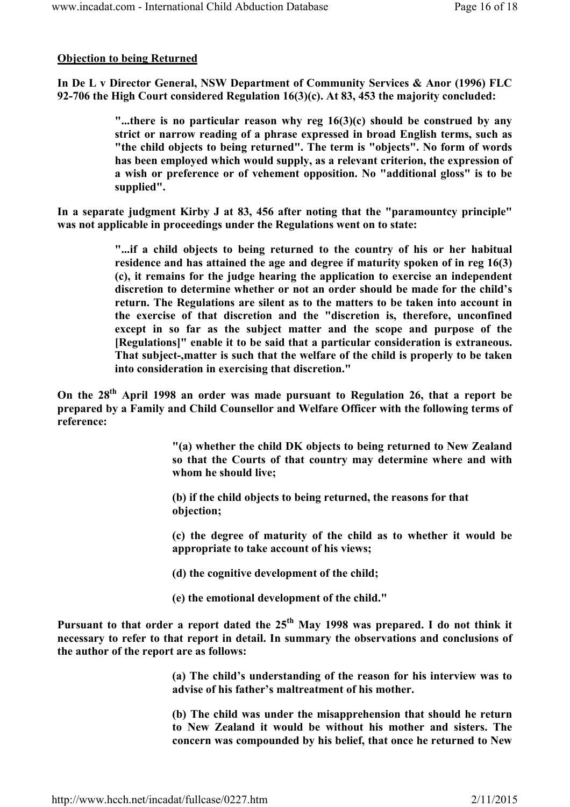# Objection to being Returned

In De L v Director General, NSW Department of Community Services & Anor (1996) FLC 92-706 the High Court considered Regulation 16(3)(c). At 83, 453 the majority concluded:

> "...there is no particular reason why reg  $16(3)(c)$  should be construed by any strict or narrow reading of a phrase expressed in broad English terms, such as "the child objects to being returned". The term is "objects". No form of words has been employed which would supply, as a relevant criterion, the expression of a wish or preference or of vehement opposition. No "additional gloss" is to be supplied".

In a separate judgment Kirby J at 83, 456 after noting that the "paramountcy principle" was not applicable in proceedings under the Regulations went on to state:

> "...if a child objects to being returned to the country of his or her habitual residence and has attained the age and degree if maturity spoken of in reg 16(3) (c), it remains for the judge hearing the application to exercise an independent discretion to determine whether or not an order should be made for the child's return. The Regulations are silent as to the matters to be taken into account in the exercise of that discretion and the "discretion is, therefore, unconfined except in so far as the subject matter and the scope and purpose of the [Regulations]" enable it to be said that a particular consideration is extraneous. That subject-,matter is such that the welfare of the child is properly to be taken into consideration in exercising that discretion."

On the 28<sup>th</sup> April 1998 an order was made pursuant to Regulation 26, that a report be prepared by a Family and Child Counsellor and Welfare Officer with the following terms of reference:

> "(a) whether the child DK objects to being returned to New Zealand so that the Courts of that country may determine where and with whom he should live;

(b) if the child objects to being returned, the reasons for that objection;

(c) the degree of maturity of the child as to whether it would be appropriate to take account of his views;

(d) the cognitive development of the child;

(e) the emotional development of the child."

Pursuant to that order a report dated the  $25<sup>th</sup>$  May 1998 was prepared. I do not think it necessary to refer to that report in detail. In summary the observations and conclusions of the author of the report are as follows:

> (a) The child's understanding of the reason for his interview was to advise of his father's maltreatment of his mother.

> (b) The child was under the misapprehension that should he return to New Zealand it would be without his mother and sisters. The concern was compounded by his belief, that once he returned to New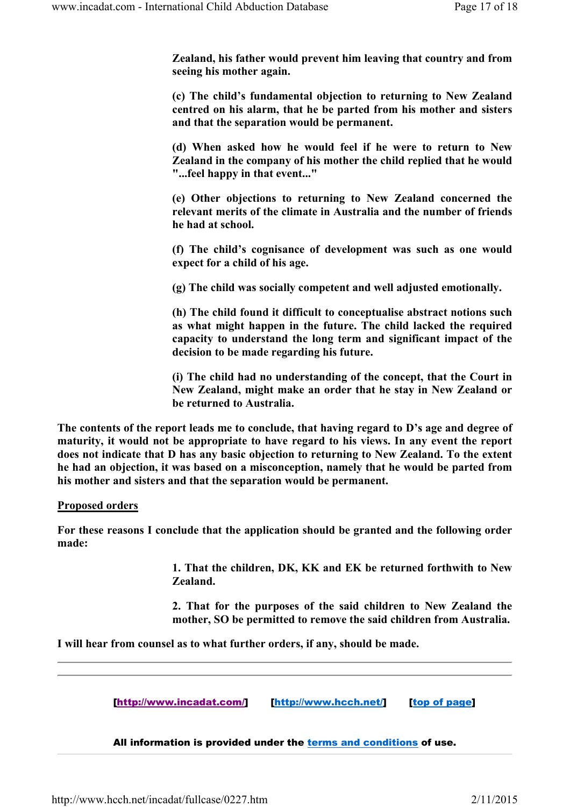Zealand, his father would prevent him leaving that country and from seeing his mother again.

(c) The child's fundamental objection to returning to New Zealand centred on his alarm, that he be parted from his mother and sisters and that the separation would be permanent.

(d) When asked how he would feel if he were to return to New Zealand in the company of his mother the child replied that he would "...feel happy in that event..."

(e) Other objections to returning to New Zealand concerned the relevant merits of the climate in Australia and the number of friends he had at school.

(f) The child's cognisance of development was such as one would expect for a child of his age.

(g) The child was socially competent and well adjusted emotionally.

(h) The child found it difficult to conceptualise abstract notions such as what might happen in the future. The child lacked the required capacity to understand the long term and significant impact of the decision to be made regarding his future.

(i) The child had no understanding of the concept, that the Court in New Zealand, might make an order that he stay in New Zealand or be returned to Australia.

The contents of the report leads me to conclude, that having regard to D's age and degree of maturity, it would not be appropriate to have regard to his views. In any event the report does not indicate that D has any basic objection to returning to New Zealand. To the extent he had an objection, it was based on a misconception, namely that he would be parted from his mother and sisters and that the separation would be permanent.

#### Proposed orders

For these reasons I conclude that the application should be granted and the following order made:

> 1. That the children, DK, KK and EK be returned forthwith to New Zealand.

> 2. That for the purposes of the said children to New Zealand the mother, SO be permitted to remove the said children from Australia.

I will hear from counsel as to what further orders, if any, should be made.

[http://www.incadat.com/] [http://www.hcch.net/] [top of page]

All information is provided under the terms and conditions of use.